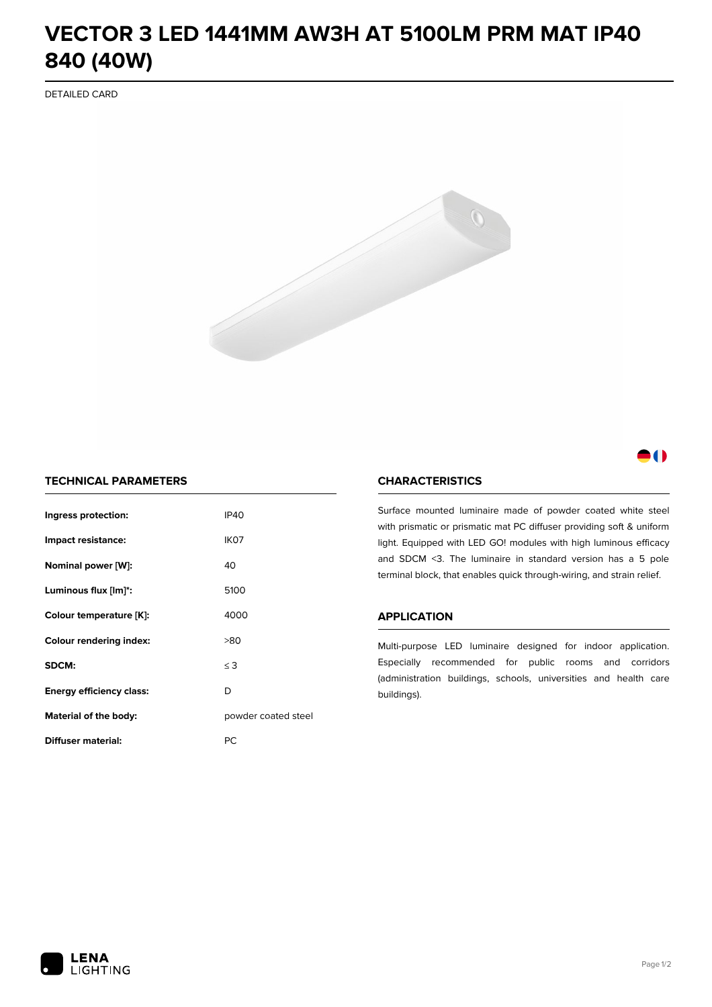# **VECTOR 3 LED 1441MM AW3H AT 5100LM PRM MAT IP40 840 (40W)**

DETAILED CARD



## M

### **TECHNICAL PARAMETERS**

| Ingress protection:             | <b>IP40</b>         |  |
|---------------------------------|---------------------|--|
| Impact resistance:              | IK <sub>07</sub>    |  |
| Nominal power [W]:              | 40                  |  |
| Luminous flux [lm]*:            | 5100                |  |
| Colour temperature [K]:         | 4000                |  |
| <b>Colour rendering index:</b>  | >80                 |  |
| SDCM:                           | $\leq$ 3            |  |
| <b>Energy efficiency class:</b> | D                   |  |
| Material of the body:           | powder coated steel |  |
| Diffuser material:              | РC                  |  |

#### **CHARACTERISTICS**

Surface mounted luminaire made of powder coated white steel with prismatic or prismatic mat PC diffuser providing soft & uniform light. Equipped with LED GO! modules with high luminous efficacy and SDCM <3. The luminaire in standard version has a 5 pole terminal block, that enables quick through-wiring, and strain relief.

#### **APPLICATION**

Multi-purpose LED luminaire designed for indoor application. Especially recommended for public rooms and corridors (administration buildings, schools, universities and health care buildings).